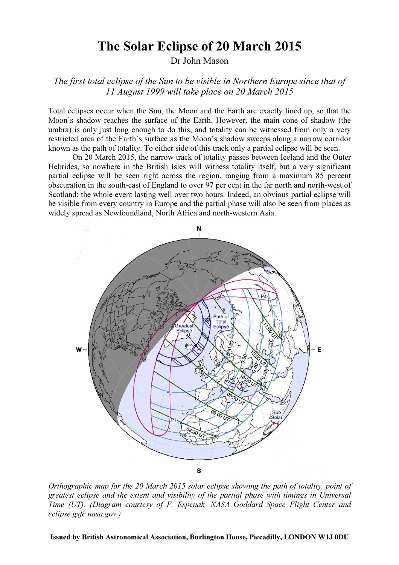## The Solar Eclipse of 20 March 2015

Dr John Mason

The first total eclipse of the Sun to be visible in Northern Europe since that of 11 August 1999 will take place on 20 March 2015

Total eclipses occur when the Sun, the Moon and the Earth are exactly lined up, so that the Moon`s shadow reaches the surface of the Earth. However, the main cone of shadow (the umbra) is only just long enough to do this, and totality can be witnessed from only a very restricted area of the Earth`s surface as the Moon's shadow sweeps along a narrow corridor known as the path of totality. To either side of this track only a partial eclipse will be seen.

On 20 March 2015, the narrow track of totality passes between Iceland and the Outer Hebrides, so nowhere in the British Isles will witness totality itself, but a very significant partial eclipse will be seen right across the region, ranging from a maximum 85 percent obscuration in the south-east of England to over 97 per cent in the far north and north-west of Scotland; the whole event lasting well over two hours. Indeed, an obvious partial eclipse will be visible from every country in Europe and the partial phase will also be seen from places as widely spread as Newfoundland, North Africa and north-western Asia.



Orthographic map for the 20 March 2015 solar eclipse showing the path of totality, point of greatest eclipse and the extent and visibility of the partial phase with timings in Universal Time (UT). (Diagram courtesy of F. Espenak, NASA Goddard Space Flight Center and eclipse.gsfc.nasa.gov.)

Issued by British Astronomical Association, Burlington House, Piccadilly, LONDON W1J 0DU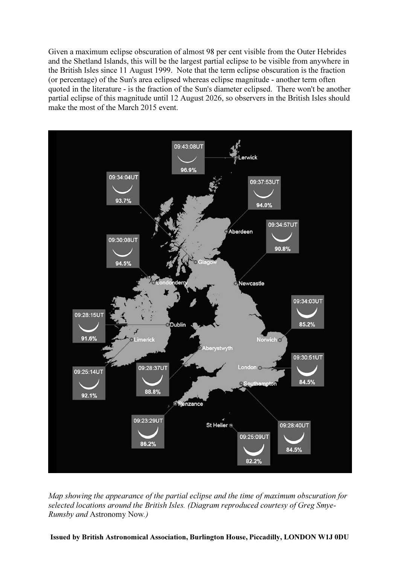Given a maximum eclipse obscuration of almost 98 per cent visible from the Outer Hebrides and the Shetland Islands, this will be the largest partial eclipse to be visible from anywhere in the British Isles since 11 August 1999. Note that the term eclipse obscuration is the fraction (or percentage) of the Sun's area eclipsed whereas eclipse magnitude - another term often quoted in the literature - is the fraction of the Sun's diameter eclipsed. There won't be another partial eclipse of this magnitude until 12 August 2026, so observers in the British Isles should make the most of the March 2015 event.



Map showing the appearance of the partial eclipse and the time of maximum obscuration for selected locations around the British Isles. (Diagram reproduced courtesy of Greg Smye-Rumsby and Astronomy Now.)

Issued by British Astronomical Association, Burlington House, Piccadilly, LONDON W1J 0DU